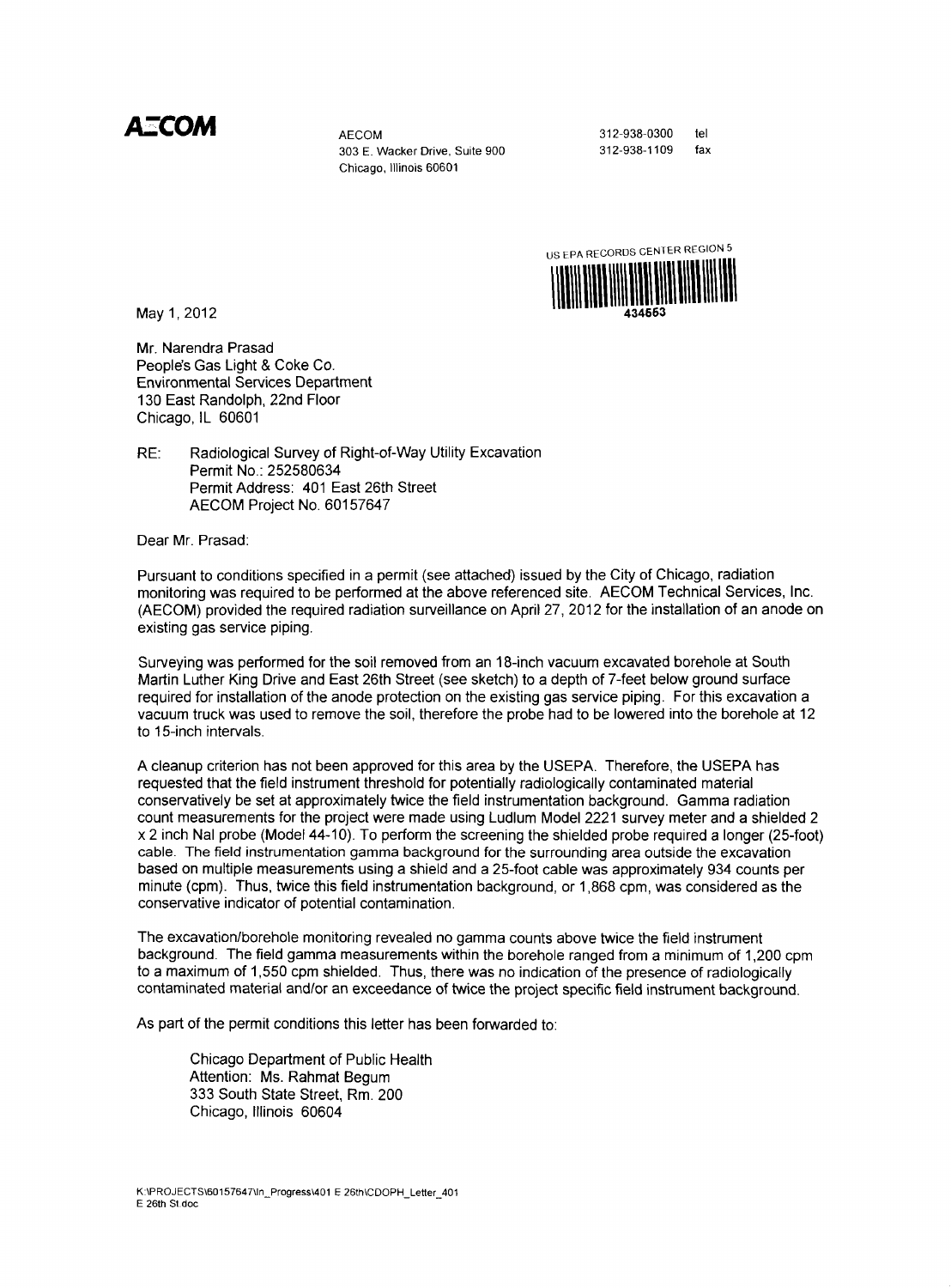A**ECOM** AECOM

303 E. Wacker Drive, Suite 900 Chicago, Illinois 60601

312-938-0300 312-938-1109 tel fax



May 1, 2012

Mr. Narendra Prasad People's Gas Light & Coke Co. Environmental Services Department 130 East Randolph, 22nd Floor Chicago, IL 60601

RE: Radiological Survey of Right-of-Way Utility Excavation Permit No.: 252580634 Permit Address: 401 East 26th Street AECOM Project No. 60157647

Dear Mr. Prasad:

Pursuant to conditions specified in a permit (see attached) issued by the City of Chicago, radiation monitoring was required to be performed at the above referenced site. AECOM Technical Services, Inc. (AECOM) provided the required radiation surveillance on AphI 27, 2012 for the installation of an anode on existing gas service piping.

Surveying was performed for the soil removed from an 18-inch vacuum excavated borehole at South Martin Luther King Drive and East 26th Street (see sketch) to a depth of 7-feet below ground surface required for installation of the anode protection on the existing gas service piping. For this excavation a vacuum truck was used to remove the soil, therefore the probe had to be lowered into the borehole at 12 to 15-inch intervals.

A cleanup criterion has not been approved for this area by the USEPA. Therefore, the USEPA has requested that the field instrument threshold for potentially radiologically contaminated material conservatively be set at approximately twice the field instrumentation background. Gamma radiation count measurements for the project were made using Ludlum Model 2221 survey meter and a shielded 2 x 2 inch Nal probe (Model 44-10). To perform the screening the shielded probe required a longer (25-foot) cable. The field instrumentation gamma background for the surrounding area outside the excavation based on multiple measurements using a shield and a 25-foot cable was approximately 934 counts per minute (cpm). Thus, twice this field instrumentation background, or 1,868 cpm, was considered as the conservative indicator of potential contamination.

The excavation/borehole monitoring revealed no gamma counts above twice the field instrument background. The field gamma measurements within the borehole ranged from a minimum of 1,200 cpm to a maximum of 1,550 cpm shielded. Thus, there was no indication of the presence of radiologically contaminated material and/or an exceedance of twice the project specific field instrument background.

As part of the permit conditions this letter has been forwarded to:

Chicago Department of Public Health Attention: Ms. Rahmat Begum 333 South State Street, Rm. 200 Chicago, Illinois 60604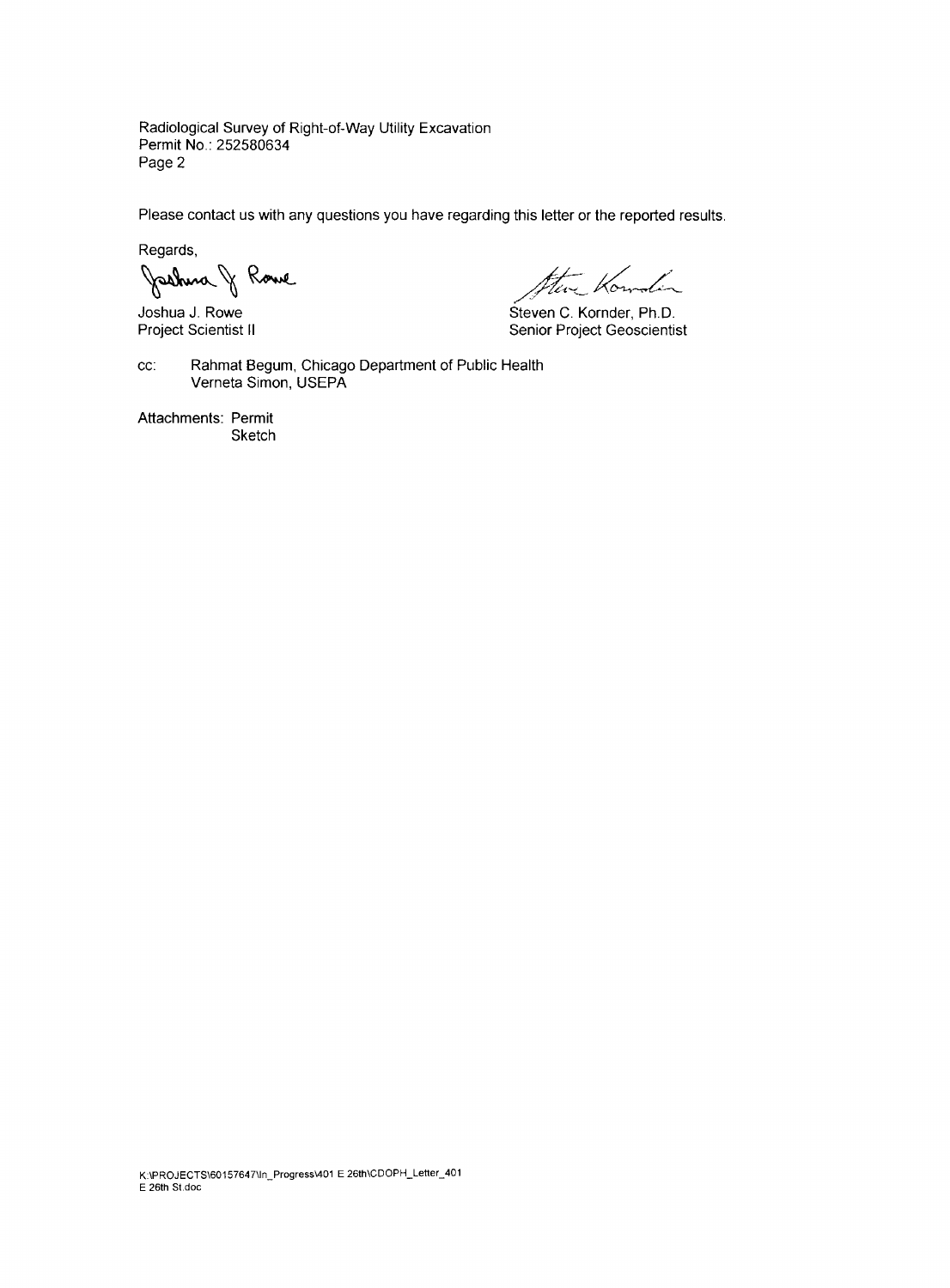Radiological Survey of Right-of-Way Utility Excavation Permit No: 252580634 Page 2

Please contact us with any questions you have regarding this letter or the reported results.

Regards,

Jackus J Rowe

kf Kowden

Joshua J. Rowe Steven C. Kornder, Ph.D.<br>
Project Scientist II Senior Project Geoscientis Senior Project Geoscientist

cc: Rahmat Begum, Chicago Department of Public Health Verneta Simon, USEPA

Attachments: Permit **Sketch**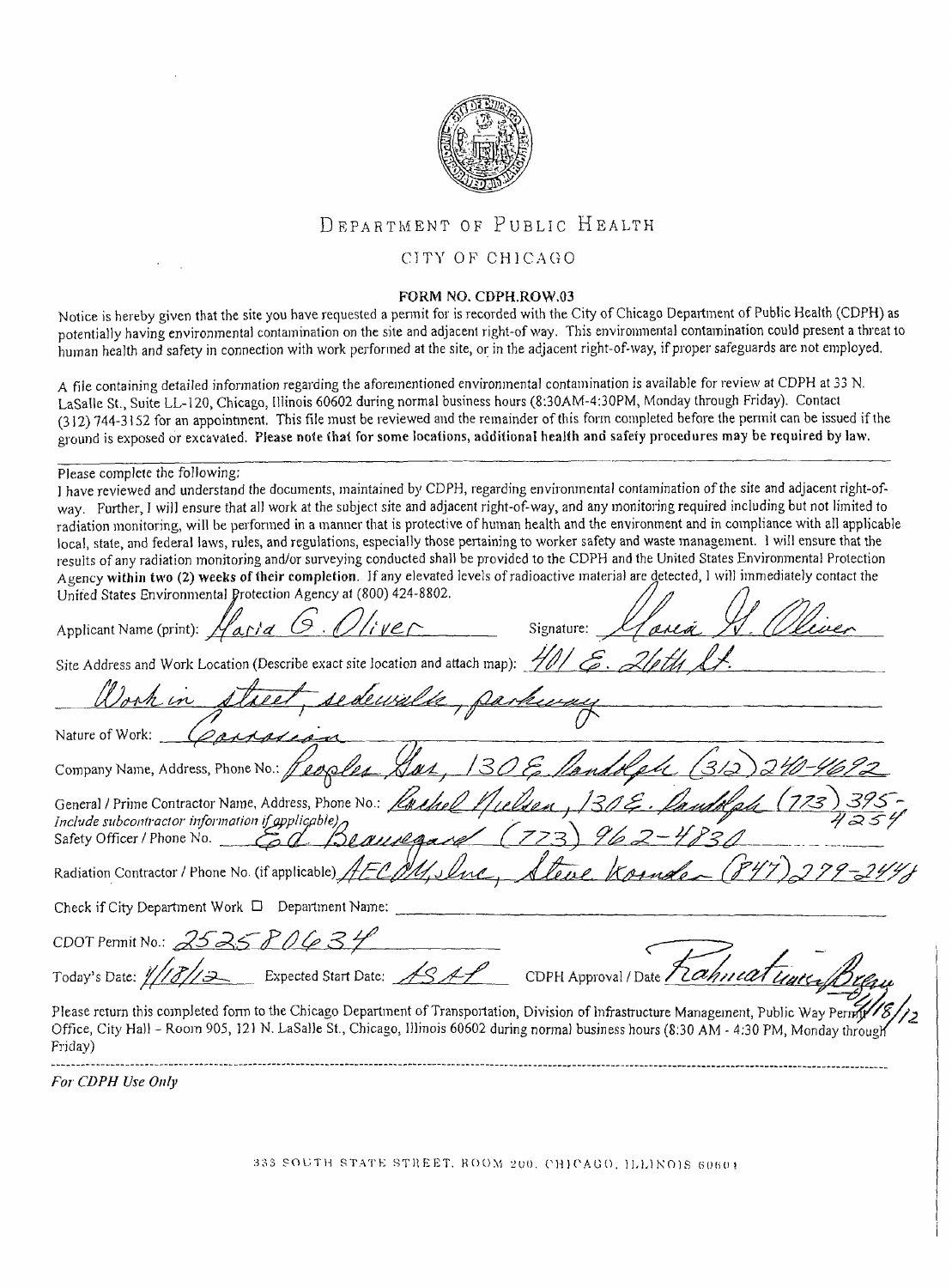

## DEPARTMENT OF PUBLIC HEALTH

## CITY OF CHICAGO

## FORM NO. CDPH.ROW.03

Notice is hereby given that the site you have requested a pennit for is recorded with the City of Chicago Department of Public Health (CDPH) as potentially having environmental contamination on the site and adjacent right-of way. This environmental contamination could present a threat to human health and safety in connection with work performed at the site, or in the adjacent right-of-way, if proper safeguards are not employed.

A file containing detailed information regarding the aforementioned environmental contamination is available for review at CDPH at 33 N. LaSalle St., Suite LL-120, Chicago, Illinois 60602 during normal business hours (8:30AM-4:30PM, Monday through Friday). Contact (312)744-3152 for an appointment. This file must be reviewed and the remainder of this form completed before the permit can be issued if the ground is exposed or excavated. Please note that for some locations, additional health and safety procedures may be required by law.

## Please complete the following:

I have reviewed and understand the documents, maintained by CDPH, regarding environmental contamination of the site and adjacent right-ofway. Further, I will ensure that all work at the subject site and adjacent right-of-way, and any monitoring required including but not limited to radiation monitoring, will be perfonned in a manner that is protective of human health and the environment and in compliance with all applicable local, state, and federal laws, rules, and regulations, especially those pertaining to worker safety and waste management. 1 will ensure that the results of any radiation monitoring and/or surveying conducted shall be provided to the CDPH and the United States Environmental Protection Agency within two (2) weeks of their completion. If any elevated levels of radioactive material are detected, 1 will immediately contact the United States Environnienta! Protection Agency at (800) 424-8802.  $\bigwedge$  $\mathbf{r}$ 

| Applicant Name (print): Haria G. Oliver<br>Signature:                                                                                                                                                                                                                                            |
|--------------------------------------------------------------------------------------------------------------------------------------------------------------------------------------------------------------------------------------------------------------------------------------------------|
| Site Address and Work Location (Describe exact site location and attach map): ///                                                                                                                                                                                                                |
| Work in street, sedewalke, parkeray                                                                                                                                                                                                                                                              |
| Nature of Work:                                                                                                                                                                                                                                                                                  |
| Company Name, Address, Phone No.: Peoples, Sar, 130 E. Mandolph (3/2)<br><u>1-4692</u>                                                                                                                                                                                                           |
| General / Prime Contractor Name, Address, Phone No. Lachel Miller, 130 E. Lambled (773)<br>Include subcontractor information if applicable) $\gamma$<br>Safety Officer / Phone No. _ Ed Beauvegard                                                                                               |
| Steve Komfor (847)<br>Radiation Contractor / Phone No. (if applicable) AECM, Slue,                                                                                                                                                                                                               |
| Check if City Department Work $\Box$ Department Name:                                                                                                                                                                                                                                            |
| CDOT Pennit No.: $2525P0634$                                                                                                                                                                                                                                                                     |
| CDPH Approval / Date Frahneat unerf<br>Today's Date: ///3//3______ Expected Start Date: ASAP                                                                                                                                                                                                     |
| Please return this completed form to the Chicago Department of Transportation, Division of Infrastructure Management, Public Way Pernity<br>Office, City Hall - Room 905, 121 N. LaSalle St., Chicago, Illinois 60602 during normal business hours (8:30 AM - 4:30 PM, Monday through<br>Friday) |

For CDPH Use Only